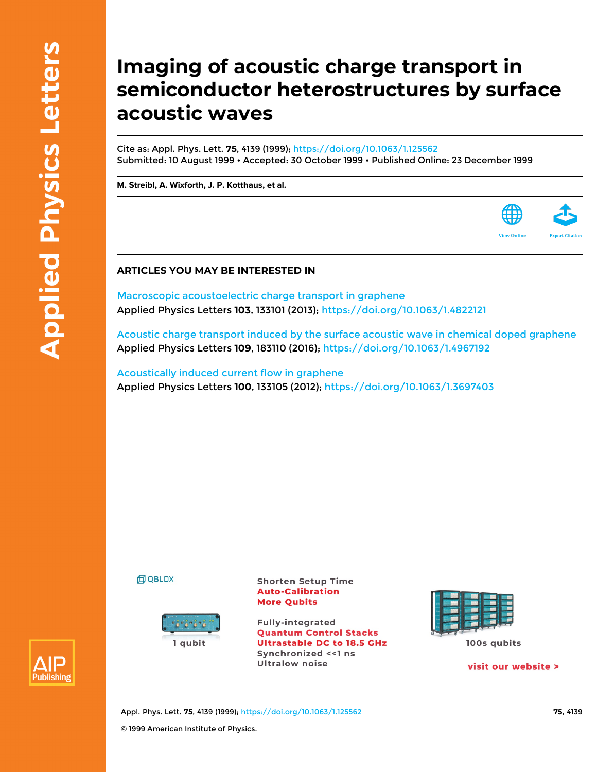## **Imaging of acoustic charge transport in semiconductor heterostructures by surface acoustic waves**

Cite as: Appl. Phys. Lett. **75**, 4139 (1999); <https://doi.org/10.1063/1.125562> Submitted: 10 August 1999 • Accepted: 30 October 1999 • Published Online: 23 December 1999

**[M. Streibl,](https://aip.scitation.org/author/Streibl%2C+M) [A. Wixforth,](https://aip.scitation.org/author/Wixforth%2C+A) [J. P. Kotthaus](https://aip.scitation.org/author/Kotthaus%2C+J+P), et al.**

## **ARTICLES YOU MAY BE INTERESTED IN**

[Macroscopic acoustoelectric charge transport in graphene](https://aip.scitation.org/doi/10.1063/1.4822121) Applied Physics Letters **103**, 133101 (2013);<https://doi.org/10.1063/1.4822121>

[Acoustic charge transport induced by the surface acoustic wave in chemical doped graphene](https://aip.scitation.org/doi/10.1063/1.4967192) Applied Physics Letters **109**, 183110 (2016);<https://doi.org/10.1063/1.4967192>

[Acoustically induced current flow in graphene](https://aip.scitation.org/doi/10.1063/1.3697403) Applied Physics Letters **100**, 133105 (2012); <https://doi.org/10.1063/1.3697403>

**印 QBLOX** 



**Shorten Setup Time Auto-Calibration More Qubits** 

**Fully-integrated Quantum Control Stacks Ultrastable DC to 18.5 GHz** Synchronized << 1 ns **Ultralow noise** 



visit our website >



Appl. Phys. Lett. **75**, 4139 (1999); <https://doi.org/10.1063/1.125562> **75**, 4139 © 1999 American Institute of Physics.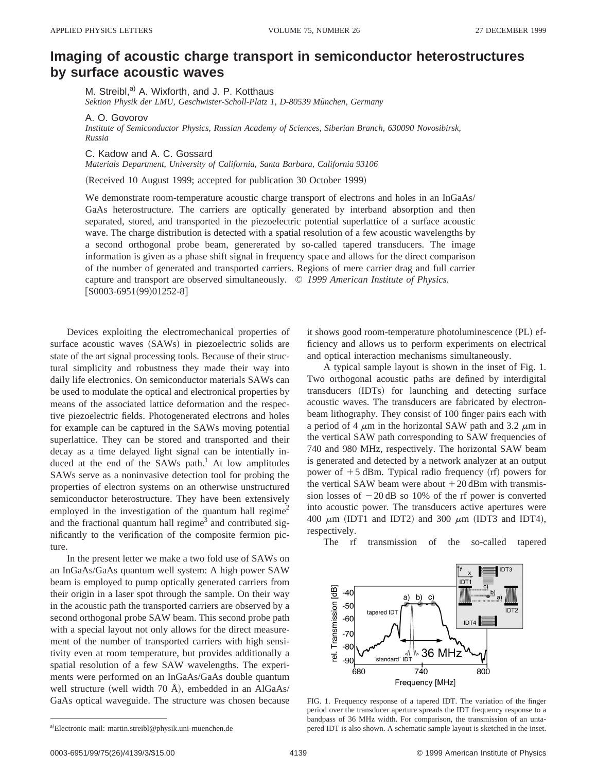## **Imaging of acoustic charge transport in semiconductor heterostructures by surface acoustic waves**

M. Streibl,<sup>a)</sup> A. Wixforth, and J. P. Kotthaus Sektion Physik der LMU, Geschwister-Scholl-Platz 1, D-80539 München, Germany

A. O. Govorov

*Institute of Semiconductor Physics, Russian Academy of Sciences, Siberian Branch, 630090 Novosibirsk, Russia*

C. Kadow and A. C. Gossard

*Materials Department, University of California, Santa Barbara, California 93106*

(Received 10 August 1999; accepted for publication 30 October 1999)

We demonstrate room-temperature acoustic charge transport of electrons and holes in an InGaAs/ GaAs heterostructure. The carriers are optically generated by interband absorption and then separated, stored, and transported in the piezoelectric potential superlattice of a surface acoustic wave. The charge distribution is detected with a spatial resolution of a few acoustic wavelengths by a second orthogonal probe beam, genererated by so-called tapered transducers. The image information is given as a phase shift signal in frequency space and allows for the direct comparison of the number of generated and transported carriers. Regions of mere carrier drag and full carrier capture and transport are observed simultaneously. © *1999 American Institute of Physics.*  $[$ S0003-6951(99)01252-8]

Devices exploiting the electromechanical properties of surface acoustic waves (SAWs) in piezoelectric solids are state of the art signal processing tools. Because of their structural simplicity and robustness they made their way into daily life electronics. On semiconductor materials SAWs can be used to modulate the optical and electronical properties by means of the associated lattice deformation and the respective piezoelectric fields. Photogenerated electrons and holes for example can be captured in the SAWs moving potential superlattice. They can be stored and transported and their decay as a time delayed light signal can be intentially induced at the end of the SAWs path.<sup>1</sup> At low amplitudes SAWs serve as a noninvasive detection tool for probing the properties of electron systems on an otherwise unstructured semiconductor heterostructure. They have been extensively employed in the investigation of the quantum hall regime<sup>2</sup> and the fractional quantum hall regime<sup>3</sup> and contributed significantly to the verification of the composite fermion picture.

In the present letter we make a two fold use of SAWs on an InGaAs/GaAs quantum well system: A high power SAW beam is employed to pump optically generated carriers from their origin in a laser spot through the sample. On their way in the acoustic path the transported carriers are observed by a second orthogonal probe SAW beam. This second probe path with a special layout not only allows for the direct measurement of the number of transported carriers with high sensitivity even at room temperature, but provides additionally a spatial resolution of a few SAW wavelengths. The experiments were performed on an InGaAs/GaAs double quantum well structure (well width 70 Å), embedded in an AlGaAs/ GaAs optical waveguide. The structure was chosen because

it shows good room-temperature photoluminescence (PL) efficiency and allows us to perform experiments on electrical and optical interaction mechanisms simultaneously.

A typical sample layout is shown in the inset of Fig. 1. Two orthogonal acoustic paths are defined by interdigital transducers (IDTs) for launching and detecting surface acoustic waves. The transducers are fabricated by electronbeam lithography. They consist of 100 finger pairs each with a period of 4  $\mu$ m in the horizontal SAW path and 3.2  $\mu$ m in the vertical SAW path corresponding to SAW frequencies of 740 and 980 MHz, respectively. The horizontal SAW beam is generated and detected by a network analyzer at an output power of  $+5$  dBm. Typical radio frequency (rf) powers for the vertical SAW beam were about  $+20$  dBm with transmission losses of  $-20$  dB so 10% of the rf power is converted into acoustic power. The transducers active apertures were 400  $\mu$ m (IDT1 and IDT2) and 300  $\mu$ m (IDT3 and IDT4), respectively.

The rf transmission of the so-called tapered



FIG. 1. Frequency response of a tapered IDT. The variation of the finger period over the transducer aperture spreads the IDT frequency response to a bandpass of 36 MHz width. For comparison, the transmission of an untapered IDT is also shown. A schematic sample layout is sketched in the inset.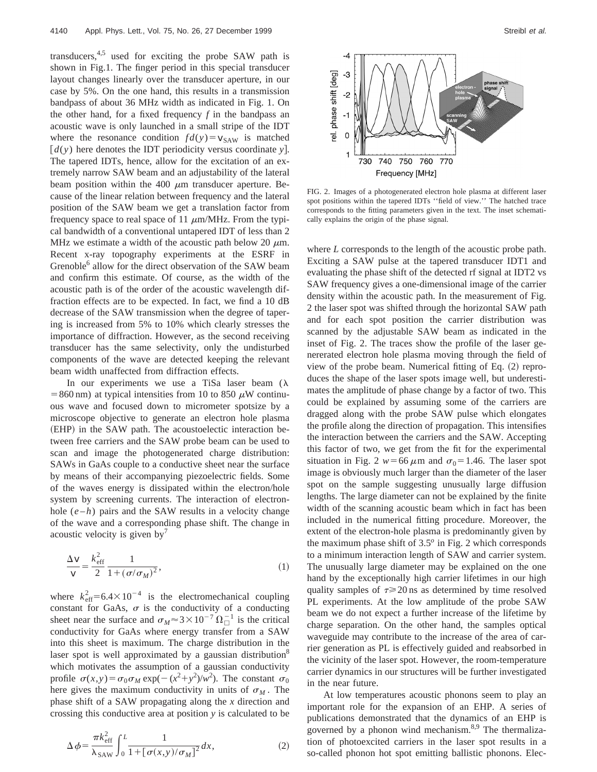transducers,  $4,5$  used for exciting the probe SAW path is shown in Fig.1. The finger period in this special transducer layout changes linearly over the transducer aperture, in our case by 5%. On the one hand, this results in a transmission bandpass of about 36 MHz width as indicated in Fig. 1. On the other hand, for a fixed frequency *f* in the bandpass an acoustic wave is only launched in a small stripe of the IDT where the resonance condition  $fd(y) = v_{SAW}$  is matched  $\left[ d(y) \right]$  here denotes the IDT periodicity versus coordinate *y*. The tapered IDTs, hence, allow for the excitation of an extremely narrow SAW beam and an adjustability of the lateral beam position within the 400  $\mu$ m transducer aperture. Because of the linear relation between frequency and the lateral position of the SAW beam we get a translation factor from frequency space to real space of 11  $\mu$ m/MHz. From the typical bandwidth of a conventional untapered IDT of less than 2 MHz we estimate a width of the acoustic path below 20  $\mu$ m. Recent x-ray topography experiments at the ESRF in Grenoble<sup>6</sup> allow for the direct observation of the SAW beam and confirm this estimate. Of course, as the width of the acoustic path is of the order of the acoustic wavelength diffraction effects are to be expected. In fact, we find a 10 dB decrease of the SAW transmission when the degree of tapering is increased from 5% to 10% which clearly stresses the importance of diffraction. However, as the second receiving transducer has the same selectivity, only the undisturbed components of the wave are detected keeping the relevant beam width unaffected from diffraction effects.

In our experiments we use a TiSa laser beam  $(\lambda)$ =860 nm) at typical intensities from 10 to 850  $\mu$ W continuous wave and focused down to micrometer spotsize by a microscope objective to generate an electron hole plasma (EHP) in the SAW path. The acoustoelectic interaction between free carriers and the SAW probe beam can be used to scan and image the photogenerated charge distribution: SAWs in GaAs couple to a conductive sheet near the surface by means of their accompanying piezoelectric fields. Some of the waves energy is dissipated within the electron/hole system by screening currents. The interaction of electronhole  $(e-h)$  pairs and the SAW results in a velocity change of the wave and a corresponding phase shift. The change in acoustic velocity is given by<sup> $\prime$ </sup>

$$
\frac{\Delta v}{v} = \frac{k_{\text{eff}}^2}{2} \frac{1}{1 + (\sigma/\sigma_M)^2},\tag{1}
$$

where  $k_{\text{eff}}^2$ =6.4×10<sup>-4</sup> is the electromechanical coupling constant for GaAs,  $\sigma$  is the conductivity of a conducting sheet near the surface and  $\sigma_M \approx 3 \times 10^{-7} \Omega_{\square}^{-1}$  is the critical conductivity for GaAs where energy transfer from a SAW into this sheet is maximum. The charge distribution in the laser spot is well approximated by a gaussian distribution<sup>8</sup> which motivates the assumption of a gaussian conductivity profile  $\sigma(x,y) = \sigma_0 \sigma_M \exp(-(x^2 + y^2)/w^2)$ . The constant  $\sigma_0$ here gives the maximum conductivity in units of  $\sigma_M$ . The phase shift of a SAW propagating along the *x* direction and crossing this conductive area at position *y* is calculated to be



FIG. 2. Images of a photogenerated electron hole plasma at different laser spot positions within the tapered IDTs ''field of view.'' The hatched trace corresponds to the fitting parameters given in the text. The inset schematically explains the origin of the phase signal.

where *L* corresponds to the length of the acoustic probe path. Exciting a SAW pulse at the tapered transducer IDT1 and evaluating the phase shift of the detected rf signal at IDT2 vs SAW frequency gives a one-dimensional image of the carrier density within the acoustic path. In the measurement of Fig. 2 the laser spot was shifted through the horizontal SAW path and for each spot position the carrier distribution was scanned by the adjustable SAW beam as indicated in the inset of Fig. 2. The traces show the profile of the laser genererated electron hole plasma moving through the field of view of the probe beam. Numerical fitting of Eq.  $(2)$  reproduces the shape of the laser spots image well, but underestimates the amplitude of phase change by a factor of two. This could be explained by assuming some of the carriers are dragged along with the probe SAW pulse which elongates the profile along the direction of propagation. This intensifies the interaction between the carriers and the SAW. Accepting this factor of two, we get from the fit for the experimental situation in Fig. 2  $w=66 \mu m$  and  $\sigma_0=1.46$ . The laser spot image is obviously much larger than the diameter of the laser spot on the sample suggesting unusually large diffusion lengths. The large diameter can not be explained by the finite width of the scanning acoustic beam which in fact has been included in the numerical fitting procedure. Moreover, the extent of the electron-hole plasma is predominantly given by the maximum phase shift of 3.5*<sup>o</sup>* in Fig. 2 which corresponds to a minimum interaction length of SAW and carrier system. The unusually large diameter may be explained on the one hand by the exceptionally high carrier lifetimes in our high quality samples of  $\tau \geq 20$  ns as determined by time resolved PL experiments. At the low amplitude of the probe SAW beam we do not expect a further increase of the lifetime by charge separation. On the other hand, the samples optical waveguide may contribute to the increase of the area of carrier generation as PL is effectively guided and reabsorbed in the vicinity of the laser spot. However, the room-temperature carrier dynamics in our structures will be further investigated in the near future.

At low temperatures acoustic phonons seem to play an important role for the expansion of an EHP. A series of publications demonstrated that the dynamics of an EHP is governed by a phonon wind mechanism.<sup>8,9</sup> The thermalization of photoexcited carriers in the laser spot results in a so-called phonon hot spot emitting ballistic phonons. Elec-